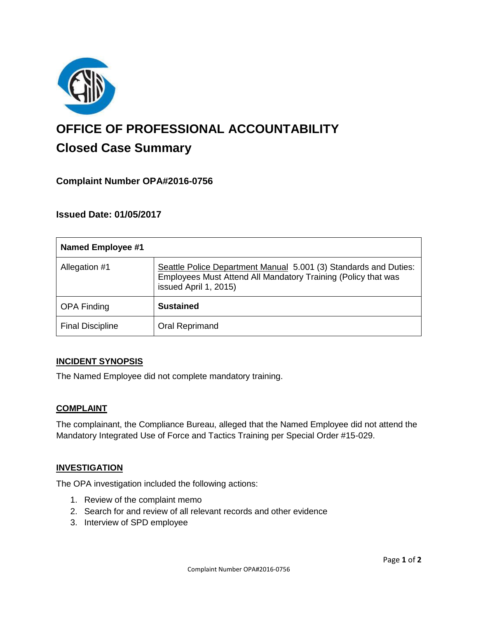

# **OFFICE OF PROFESSIONAL ACCOUNTABILITY Closed Case Summary**

## **Complaint Number OPA#2016-0756**

## **Issued Date: 01/05/2017**

| <b>Named Employee #1</b> |                                                                                                                                                            |
|--------------------------|------------------------------------------------------------------------------------------------------------------------------------------------------------|
| Allegation #1            | Seattle Police Department Manual 5.001 (3) Standards and Duties:<br>Employees Must Attend All Mandatory Training (Policy that was<br>issued April 1, 2015) |
| <b>OPA Finding</b>       | <b>Sustained</b>                                                                                                                                           |
| <b>Final Discipline</b>  | Oral Reprimand                                                                                                                                             |

### **INCIDENT SYNOPSIS**

The Named Employee did not complete mandatory training.

### **COMPLAINT**

The complainant, the Compliance Bureau, alleged that the Named Employee did not attend the Mandatory Integrated Use of Force and Tactics Training per Special Order #15-029.

### **INVESTIGATION**

The OPA investigation included the following actions:

- 1. Review of the complaint memo
- 2. Search for and review of all relevant records and other evidence
- 3. Interview of SPD employee